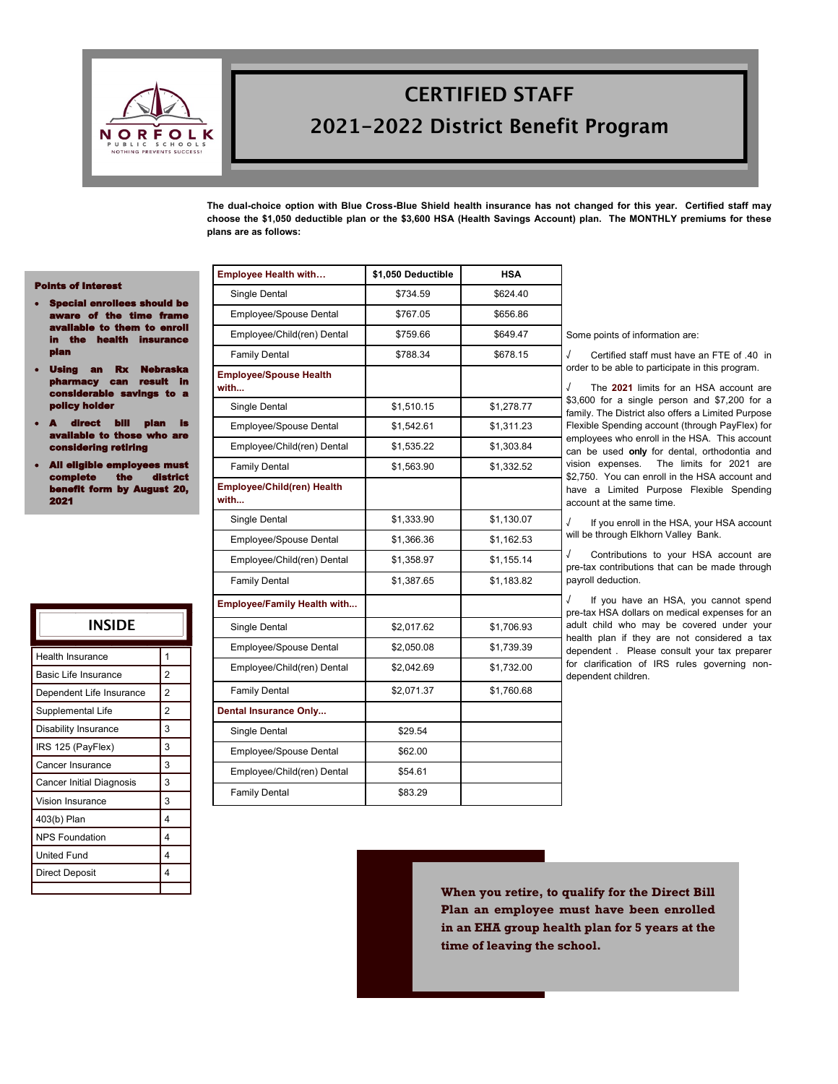

# **CERTIFIED STAFF** 2021-2022 District Benefit Program

**The dual-choice option with Blue Cross-Blue Shield health insurance has not changed for this year. Certified staff may choose the \$1,050 deductible plan or the \$3,600 HSA (Health Savings Account) plan. The MONTHLY premiums for these plans are as follows:**

#### Points of Interest

- Special enrollees should be aware of the time fram illable to them to enroll **health insurance** plan
- Using an Rx Ne can result in considerable savings to a **by holder**
- direct bill plan is<br>lable\_to\_those\_who\_are available to those dering retiring
- All eligible employees n complete the district It form by August 20, 2021

| INSIDE                   |                |
|--------------------------|----------------|
| <b>Health Insurance</b>  | 1              |
| Basic Life Insurance     | $\overline{2}$ |
| Dependent Life Insurance | $\overline{2}$ |
| Supplemental Life        | $\overline{2}$ |
| Disability Insurance     | 3              |
| IRS 125 (PayFlex)        | 3              |
| Cancer Insurance         | 3              |
| Cancer Initial Diagnosis | 3              |
| Vision Insurance         | 3              |
| 403(b) Plan              | 4              |
| <b>NPS Foundation</b>    | 4              |
| <b>United Fund</b>       | 4              |
| <b>Direct Deposit</b>    | 4              |
|                          |                |

| <b>Employee Health with</b>               | \$1,050 Deductible | <b>HSA</b> |                                                                                                                         |  |  |  |
|-------------------------------------------|--------------------|------------|-------------------------------------------------------------------------------------------------------------------------|--|--|--|
| Single Dental                             | \$734.59           | \$624.40   |                                                                                                                         |  |  |  |
| Employee/Spouse Dental                    | \$767.05           | \$656.86   |                                                                                                                         |  |  |  |
| Employee/Child(ren) Dental                | \$759.66           | \$649.47   | Some points of information are:                                                                                         |  |  |  |
| <b>Family Dental</b>                      | \$788.34           | \$678.15   | J<br>Certified staff must have an FTE of .40 in                                                                         |  |  |  |
| <b>Employee/Spouse Health</b><br>with     |                    |            | order to be able to participate in this program.<br>J<br>The 2021 limits for an HSA account are                         |  |  |  |
| Single Dental                             | \$1,510.15         | \$1,278.77 | \$3,600 for a single person and \$7,200 for a<br>family. The District also offers a Limited Purpose                     |  |  |  |
| Employee/Spouse Dental                    | \$1,542.61         | \$1,311.23 | Flexible Spending account (through PayFlex) for                                                                         |  |  |  |
| Employee/Child(ren) Dental                | \$1,535.22         | \$1,303.84 | employees who enroll in the HSA. This account<br>can be used only for dental, orthodontia and                           |  |  |  |
| <b>Family Dental</b>                      | \$1,563.90         | \$1,332.52 | vision expenses. The limits for 2021 are                                                                                |  |  |  |
| <b>Employee/Child(ren) Health</b><br>with |                    |            | \$2,750. You can enroll in the HSA account and<br>have a Limited Purpose Flexible Spending<br>account at the same time. |  |  |  |
| Single Dental                             | \$1,333.90         | \$1,130.07 | J<br>If you enroll in the HSA, your HSA account                                                                         |  |  |  |
| Employee/Spouse Dental                    | \$1,366.36         | \$1,162.53 | will be through Elkhorn Valley Bank.                                                                                    |  |  |  |
| Employee/Child(ren) Dental                | \$1,358.97         | \$1,155.14 | J<br>Contributions to your HSA account are<br>pre-tax contributions that can be made through                            |  |  |  |
| <b>Family Dental</b>                      | \$1,387.65         | \$1,183.82 | payroll deduction.                                                                                                      |  |  |  |
| Employee/Family Health with               |                    |            | J<br>If you have an HSA, you cannot spend<br>pre-tax HSA dollars on medical expenses for an                             |  |  |  |
| Single Dental                             | \$2,017.62         | \$1,706.93 | adult child who may be covered under your                                                                               |  |  |  |
| Employee/Spouse Dental                    | \$2,050.08         | \$1,739.39 | health plan if they are not considered a tax<br>dependent. Please consult your tax preparer                             |  |  |  |
| Employee/Child(ren) Dental                | \$2,042.69         | \$1,732.00 | for clarification of IRS rules governing non-<br>dependent children.                                                    |  |  |  |
| <b>Family Dental</b>                      | \$2,071.37         | \$1,760.68 |                                                                                                                         |  |  |  |
| Dental Insurance Only                     |                    |            |                                                                                                                         |  |  |  |
| Single Dental                             | \$29.54            |            |                                                                                                                         |  |  |  |
| Employee/Spouse Dental                    | \$62.00            |            |                                                                                                                         |  |  |  |
| Employee/Child(ren) Dental                | \$54.61            |            |                                                                                                                         |  |  |  |
| <b>Family Dental</b>                      | \$83.29            |            |                                                                                                                         |  |  |  |

**When you retire, to qualify for the Direct Bill Plan an employee must have been enrolled in an EHA group health plan for 5 years at the time of leaving the school.**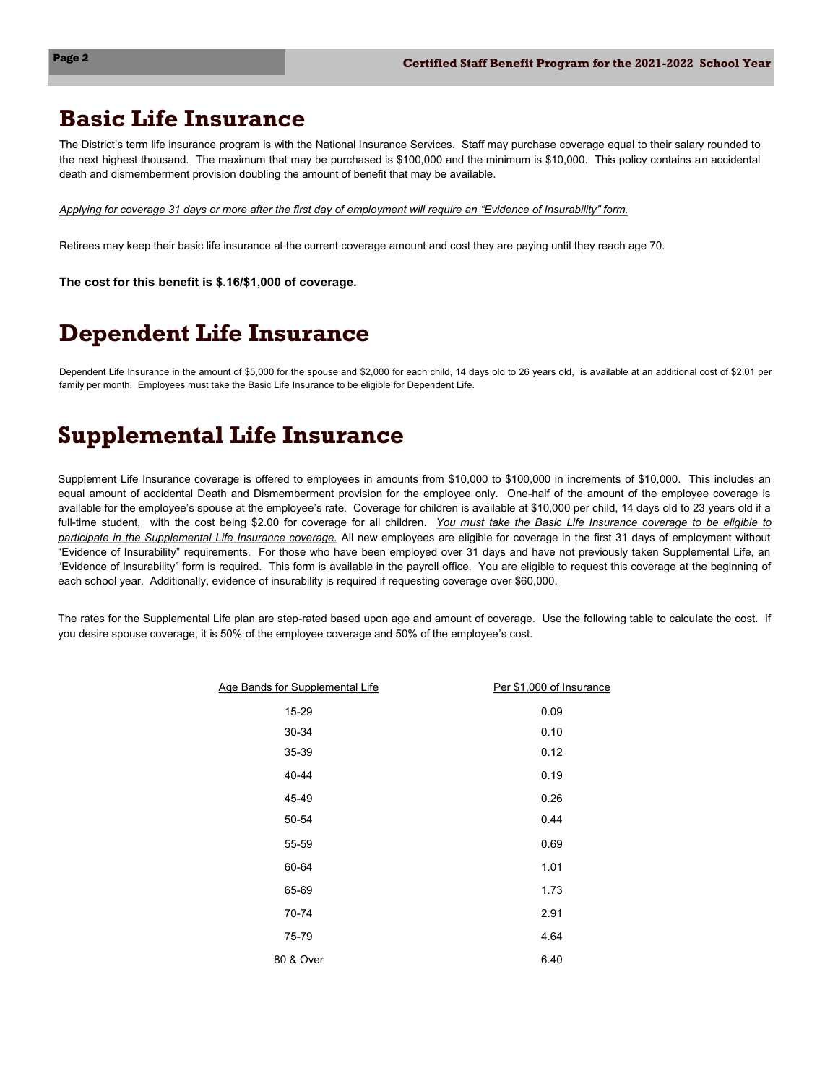### **Basic Life Insurance**

The District's term life insurance program is with the National Insurance Services. Staff may purchase coverage equal to their salary rounded to the next highest thousand. The maximum that may be purchased is \$100,000 and the minimum is \$10,000. This policy contains an accidental death and dismemberment provision doubling the amount of benefit that may be available.

*Applying for coverage 31 days or more after the first day of employment will require an "Evidence of Insurability" form.* 

Retirees may keep their basic life insurance at the current coverage amount and cost they are paying until they reach age 70.

**The cost for this benefit is \$.16/\$1,000 of coverage.**

## **Dependent Life Insurance**

Dependent Life Insurance in the amount of \$5,000 for the spouse and \$2,000 for each child, 14 days old to 26 years old, is available at an additional cost of \$2.01 per family per month. Employees must take the Basic Life Insurance to be eligible for Dependent Life.

## **Supplemental Life Insurance**

Supplement Life Insurance coverage is offered to employees in amounts from \$10,000 to \$100,000 in increments of \$10,000. This includes an equal amount of accidental Death and Dismemberment provision for the employee only. One-half of the amount of the employee coverage is available for the employee's spouse at the employee's rate. Coverage for children is available at \$10,000 per child, 14 days old to 23 years old if a full-time student, with the cost being \$2.00 for coverage for all children. *You must take the Basic Life Insurance coverage to be eligible to participate in the Supplemental Life Insurance coverage.* All new employees are eligible for coverage in the first 31 days of employment without "Evidence of Insurability" requirements. For those who have been employed over 31 days and have not previously taken Supplemental Life, an "Evidence of Insurability" form is required. This form is available in the payroll office. You are eligible to request this coverage at the beginning of each school year. Additionally, evidence of insurability is required if requesting coverage over \$60,000.

The rates for the Supplemental Life plan are step-rated based upon age and amount of coverage. Use the following table to calculate the cost. If you desire spouse coverage, it is 50% of the employee coverage and 50% of the employee's cost.

| Age Bands for Supplemental Life | Per \$1,000 of Insurance |
|---------------------------------|--------------------------|
| 15-29                           | 0.09                     |
| 30-34                           | 0.10                     |
| 35-39                           | 0.12                     |
| 40-44                           | 0.19                     |
| 45-49                           | 0.26                     |
| 50-54                           | 0.44                     |
| 55-59                           | 0.69                     |
| 60-64                           | 1.01                     |
| 65-69                           | 1.73                     |
| 70-74                           | 2.91                     |
| 75-79                           | 4.64                     |
| 80 & Over                       | 6.40                     |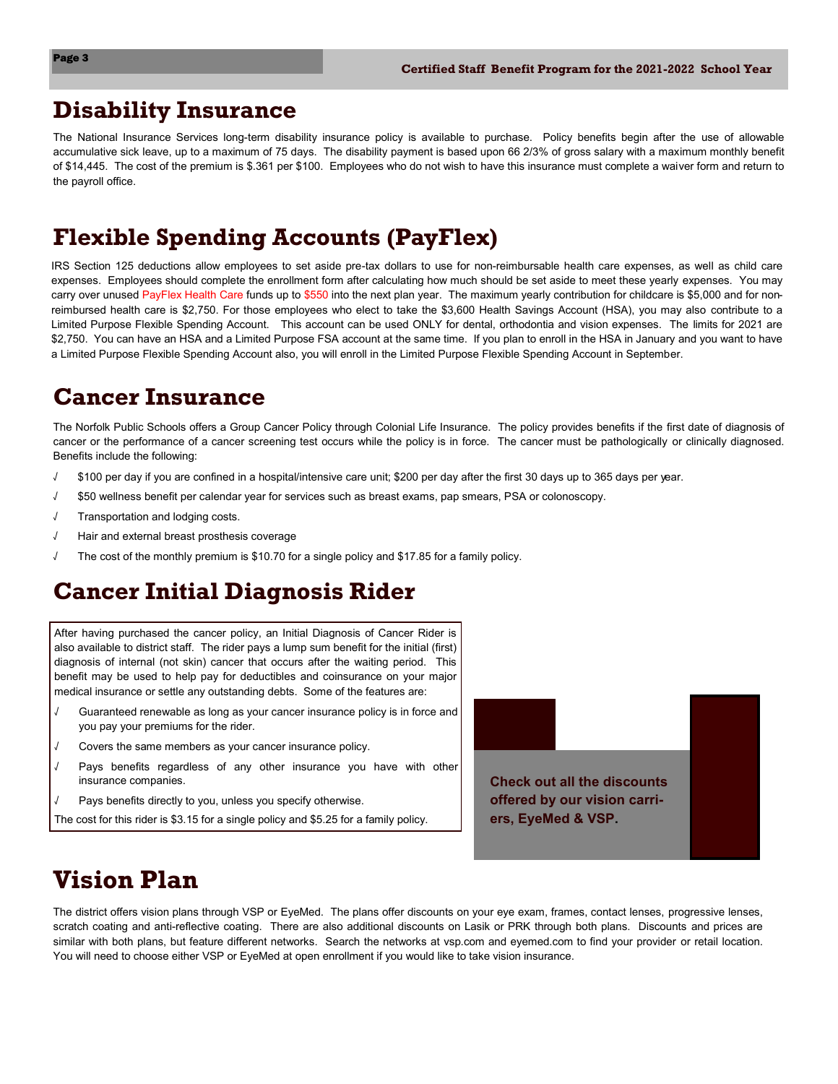#### **Disability Insurance**

The National Insurance Services long-term disability insurance policy is available to purchase. Policy benefits begin after the use of allowable accumulative sick leave, up to a maximum of 75 days. The disability payment is based upon 66 2/3% of gross salary with a maximum monthly benefit of \$14,445. The cost of the premium is \$.361 per \$100. Employees who do not wish to have this insurance must complete a waiver form and return to the payroll office.

## **Flexible Spending Accounts (PayFlex)**

IRS Section 125 deductions allow employees to set aside pre-tax dollars to use for non-reimbursable health care expenses, as well as child care expenses. Employees should complete the enrollment form after calculating how much should be set aside to meet these yearly expenses. You may carry over unused PayFlex Health Care funds up to \$550 into the next plan year. The maximum yearly contribution for childcare is \$5,000 and for nonreimbursed health care is \$2,750. For those employees who elect to take the \$3,600 Health Savings Account (HSA), you may also contribute to a Limited Purpose Flexible Spending Account. This account can be used ONLY for dental, orthodontia and vision expenses. The limits for 2021 are \$2,750. You can have an HSA and a Limited Purpose FSA account at the same time. If you plan to enroll in the HSA in January and you want to have a Limited Purpose Flexible Spending Account also, you will enroll in the Limited Purpose Flexible Spending Account in September.

### **Cancer Insurance**

The Norfolk Public Schools offers a Group Cancer Policy through Colonial Life Insurance. The policy provides benefits if the first date of diagnosis of cancer or the performance of a cancer screening test occurs while the policy is in force. The cancer must be pathologically or clinically diagnosed. Benefits include the following:

- √ \$100 per day if you are confined in a hospital/intensive care unit; \$200 per day after the first 30 days up to 365 days per year.
- √ \$50 wellness benefit per calendar year for services such as breast exams, pap smears, PSA or colonoscopy.
- Transportation and lodging costs.
- √ Hair and external breast prosthesis coverage
- The cost of the monthly premium is \$10.70 for a single policy and \$17.85 for a family policy.

## **Cancer Initial Diagnosis Rider**

After having purchased the cancer policy, an Initial Diagnosis of Cancer Rider is also available to district staff. The rider pays a lump sum benefit for the initial (first) diagnosis of internal (not skin) cancer that occurs after the waiting period. This benefit may be used to help pay for deductibles and coinsurance on your major medical insurance or settle any outstanding debts. Some of the features are:

- √ Guaranteed renewable as long as your cancer insurance policy is in force and you pay your premiums for the rider.
- √ Covers the same members as your cancer insurance policy.
- Pays benefits regardless of any other insurance you have with other insurance companies.
- Pays benefits directly to you, unless you specify otherwise.

The cost for this rider is \$3.15 for a single policy and \$5.25 for a family policy.



## **Vision Plan**

The district offers vision plans through VSP or EyeMed. The plans offer discounts on your eye exam, frames, contact lenses, progressive lenses, scratch coating and anti-reflective coating. There are also additional discounts on Lasik or PRK through both plans. Discounts and prices are similar with both plans, but feature different networks. Search the networks at vsp.com and eyemed.com to find your provider or retail location. You will need to choose either VSP or EyeMed at open enrollment if you would like to take vision insurance.